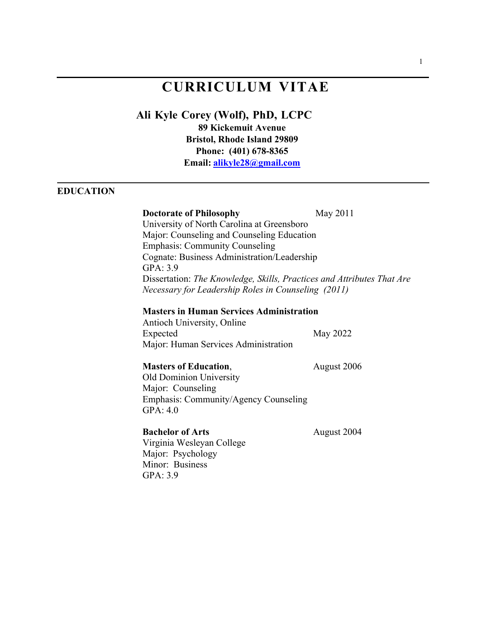# **CURRICULUM VITAE**

# **Ali Kyle Corey (Wolf), PhD, LCPC**

**89 Kickemuit Avenue Bristol, Rhode Island 29809 Phone: (401) 678-8365 Email: alikyle28@gmail.com**

# **EDUCATION**

#### **Doctorate of Philosophy** May 2011

University of North Carolina at Greensboro Major: Counseling and Counseling Education Emphasis: Community Counseling Cognate: Business Administration/Leadership GPA: 3.9 Dissertation: *The Knowledge, Skills, Practices and Attributes That Are Necessary for Leadership Roles in Counseling (2011)*

#### **Masters in Human Services Administration**

Antioch University, Online Expected May 2022 Major: Human Services Administration

## **Masters of Education**, August 2006

Old Dominion University Major: Counseling Emphasis: Community/Agency Counseling GPA: 4.0

# **Bachelor of Arts** August 2004

Virginia Wesleyan College Major: Psychology Minor: Business GPA: 3.9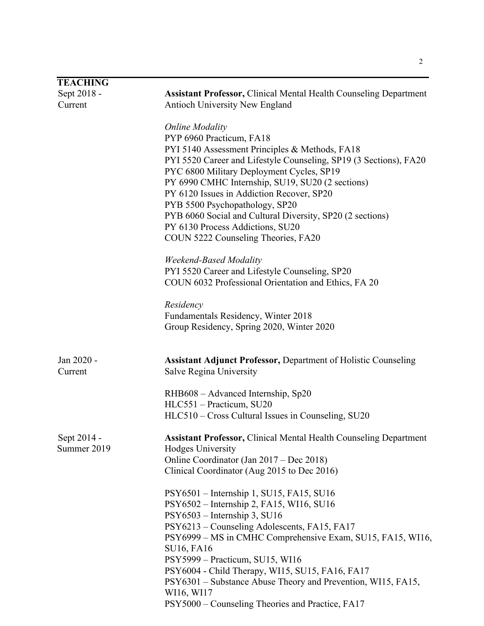| <b>TEACHING</b>            |                                                                                                                                                                                                                                                                                                                                                                                                                                                                                                   |
|----------------------------|---------------------------------------------------------------------------------------------------------------------------------------------------------------------------------------------------------------------------------------------------------------------------------------------------------------------------------------------------------------------------------------------------------------------------------------------------------------------------------------------------|
| Sept 2018 -                | <b>Assistant Professor, Clinical Mental Health Counseling Department</b>                                                                                                                                                                                                                                                                                                                                                                                                                          |
| Current                    | Antioch University New England                                                                                                                                                                                                                                                                                                                                                                                                                                                                    |
|                            | <b>Online Modality</b><br>PYP 6960 Practicum, FA18<br>PYI 5140 Assessment Principles & Methods, FA18<br>PYI 5520 Career and Lifestyle Counseling, SP19 (3 Sections), FA20<br>PYC 6800 Military Deployment Cycles, SP19<br>PY 6990 CMHC Internship, SU19, SU20 (2 sections)<br>PY 6120 Issues in Addiction Recover, SP20<br>PYB 5500 Psychopathology, SP20<br>PYB 6060 Social and Cultural Diversity, SP20 (2 sections)<br>PY 6130 Process Addictions, SU20<br>COUN 5222 Counseling Theories, FA20 |
|                            | <b>Weekend-Based Modality</b><br>PYI 5520 Career and Lifestyle Counseling, SP20<br>COUN 6032 Professional Orientation and Ethics, FA 20                                                                                                                                                                                                                                                                                                                                                           |
|                            | Residency<br>Fundamentals Residency, Winter 2018<br>Group Residency, Spring 2020, Winter 2020                                                                                                                                                                                                                                                                                                                                                                                                     |
| Jan 2020 -<br>Current      | <b>Assistant Adjunct Professor, Department of Holistic Counseling</b><br>Salve Regina University                                                                                                                                                                                                                                                                                                                                                                                                  |
|                            | RHB608 - Advanced Internship, Sp20<br>HLC551 - Practicum, SU20<br>HLC510 - Cross Cultural Issues in Counseling, SU20                                                                                                                                                                                                                                                                                                                                                                              |
| Sept 2014 -<br>Summer 2019 | <b>Assistant Professor, Clinical Mental Health Counseling Department</b><br><b>Hodges University</b><br>Online Coordinator (Jan 2017 – Dec 2018)<br>Clinical Coordinator (Aug 2015 to Dec 2016)                                                                                                                                                                                                                                                                                                   |
|                            | PSY6501 – Internship 1, SU15, FA15, SU16<br>PSY6502 – Internship 2, FA15, WI16, SU16<br>PSY6503 - Internship 3, SU16<br>PSY6213 – Counseling Adolescents, FA15, FA17<br>PSY6999 - MS in CMHC Comprehensive Exam, SU15, FA15, WI16,<br><b>SU16, FA16</b><br>PSY5999 - Practicum, SU15, WI16<br>PSY6004 - Child Therapy, WI15, SU15, FA16, FA17<br>PSY6301 – Substance Abuse Theory and Prevention, WI15, FA15,<br>WI16, WI17<br>PSY5000 - Counseling Theories and Practice, FA17                   |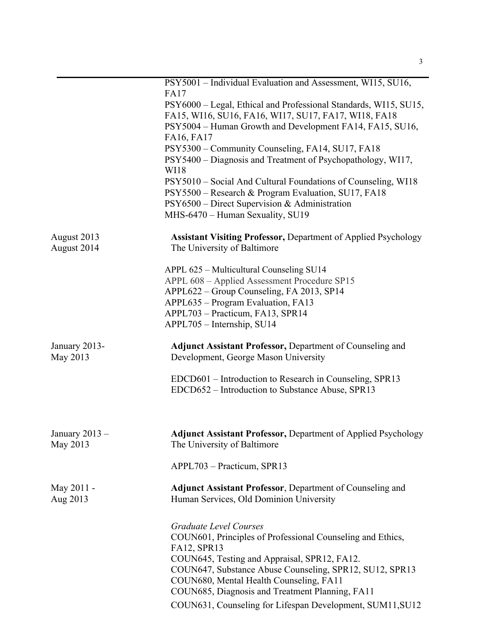|                              | PSY5001 - Individual Evaluation and Assessment, WI15, SU16,                                                 |
|------------------------------|-------------------------------------------------------------------------------------------------------------|
|                              | <b>FA17</b><br>PSY6000 - Legal, Ethical and Professional Standards, WI15, SU15,                             |
|                              | FA15, WI16, SU16, FA16, WI17, SU17, FA17, WI18, FA18                                                        |
|                              | PSY5004 – Human Growth and Development FA14, FA15, SU16,                                                    |
|                              | FA16, FA17                                                                                                  |
|                              | PSY5300 – Community Counseling, FA14, SU17, FA18                                                            |
|                              | PSY5400 - Diagnosis and Treatment of Psychopathology, WI17,<br>WI18                                         |
|                              | PSY5010 – Social And Cultural Foundations of Counseling, WI18                                               |
|                              | PSY5500 – Research & Program Evaluation, SU17, FA18                                                         |
|                              | PSY6500 - Direct Supervision & Administration                                                               |
|                              | MHS-6470 - Human Sexuality, SU19                                                                            |
| August 2013<br>August 2014   | <b>Assistant Visiting Professor, Department of Applied Psychology</b><br>The University of Baltimore        |
|                              | APPL 625 - Multicultural Counseling SU14                                                                    |
|                              | APPL 608 - Applied Assessment Procedure SP15                                                                |
|                              | APPL622 – Group Counseling, FA 2013, SP14                                                                   |
|                              | APPL635 - Program Evaluation, FA13                                                                          |
|                              | APPL703 - Practicum, FA13, SPR14                                                                            |
|                              | APPL705 - Internship, SU14                                                                                  |
| January 2013-<br>May 2013    | <b>Adjunct Assistant Professor, Department of Counseling and</b><br>Development, George Mason University    |
|                              | EDCD601 – Introduction to Research in Counseling, SPR13                                                     |
|                              | EDCD652 – Introduction to Substance Abuse, SPR13                                                            |
|                              |                                                                                                             |
| January $2013 -$<br>May 2013 | <b>Adjunct Assistant Professor, Department of Applied Psychology</b><br>The University of Baltimore         |
|                              | APPL703 - Practicum, SPR13                                                                                  |
| May 2011 -<br>Aug 2013       | <b>Adjunct Assistant Professor, Department of Counseling and</b><br>Human Services, Old Dominion University |
|                              | <b>Graduate Level Courses</b>                                                                               |
|                              | COUN601, Principles of Professional Counseling and Ethics,                                                  |
|                              | FA12, SPR13                                                                                                 |
|                              | COUN645, Testing and Appraisal, SPR12, FA12.                                                                |
|                              | COUN647, Substance Abuse Counseling, SPR12, SU12, SPR13                                                     |
|                              | COUN680, Mental Health Counseling, FA11                                                                     |
|                              | COUN685, Diagnosis and Treatment Planning, FA11                                                             |
|                              | COUN631, Counseling for Lifespan Development, SUM11, SU12                                                   |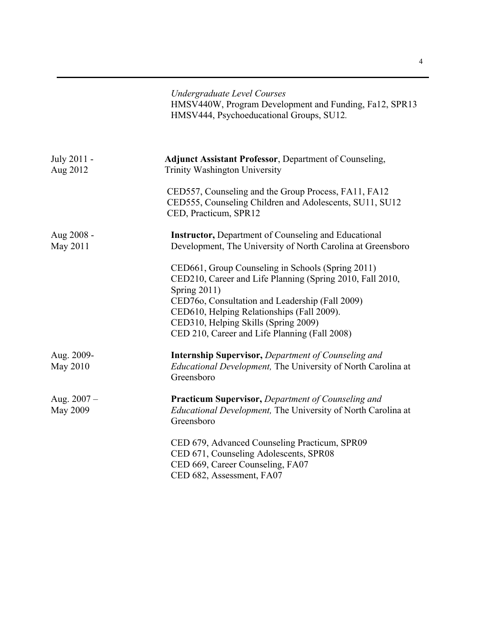|                                  | <b>Undergraduate Level Courses</b><br>HMSV440W, Program Development and Funding, Fa12, SPR13<br>HMSV444, Psychoeducational Groups, SU12.                                                                                                                                                                                        |
|----------------------------------|---------------------------------------------------------------------------------------------------------------------------------------------------------------------------------------------------------------------------------------------------------------------------------------------------------------------------------|
| July 2011 -<br>Aug 2012          | <b>Adjunct Assistant Professor, Department of Counseling,</b><br><b>Trinity Washington University</b>                                                                                                                                                                                                                           |
|                                  | CED557, Counseling and the Group Process, FA11, FA12<br>CED555, Counseling Children and Adolescents, SU11, SU12<br>CED, Practicum, SPR12                                                                                                                                                                                        |
| Aug 2008 -<br>May 2011           | <b>Instructor, Department of Counseling and Educational</b><br>Development, The University of North Carolina at Greensboro                                                                                                                                                                                                      |
|                                  | CED661, Group Counseling in Schools (Spring 2011)<br>CED210, Career and Life Planning (Spring 2010, Fall 2010,<br><b>Spring 2011)</b><br>CED760, Consultation and Leadership (Fall 2009)<br>CED610, Helping Relationships (Fall 2009).<br>CED310, Helping Skills (Spring 2009)<br>CED 210, Career and Life Planning (Fall 2008) |
| Aug. 2009-<br>May 2010           | <b>Internship Supervisor, Department of Counseling and</b><br>Educational Development, The University of North Carolina at<br>Greensboro                                                                                                                                                                                        |
| Aug. $2007 -$<br><b>May 2009</b> | <b>Practicum Supervisor, Department of Counseling and</b><br>Educational Development, The University of North Carolina at<br>Greensboro                                                                                                                                                                                         |
|                                  | CED 679, Advanced Counseling Practicum, SPR09<br>CED 671, Counseling Adolescents, SPR08<br>CED 669, Career Counseling, FA07<br>CED 682, Assessment, FA07                                                                                                                                                                        |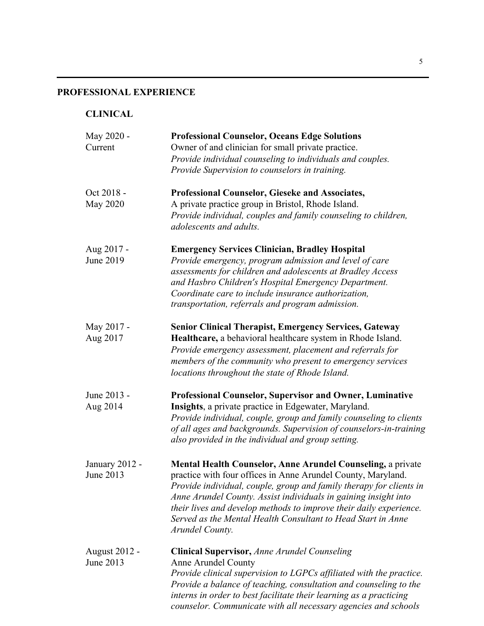# **PROFESSIONAL EXPERIENCE**

# **CLINICAL**

| May 2020 -<br>Current             | <b>Professional Counselor, Oceans Edge Solutions</b><br>Owner of and clinician for small private practice.<br>Provide individual counseling to individuals and couples.<br>Provide Supervision to counselors in training.                                                                                                                                                                                                             |
|-----------------------------------|---------------------------------------------------------------------------------------------------------------------------------------------------------------------------------------------------------------------------------------------------------------------------------------------------------------------------------------------------------------------------------------------------------------------------------------|
| Oct 2018 -<br><b>May 2020</b>     | Professional Counselor, Gieseke and Associates,<br>A private practice group in Bristol, Rhode Island.<br>Provide individual, couples and family counseling to children,<br>adolescents and adults.                                                                                                                                                                                                                                    |
| Aug 2017 -<br>June 2019           | <b>Emergency Services Clinician, Bradley Hospital</b><br>Provide emergency, program admission and level of care<br>assessments for children and adolescents at Bradley Access<br>and Hasbro Children's Hospital Emergency Department.<br>Coordinate care to include insurance authorization,<br>transportation, referrals and program admission.                                                                                      |
| May 2017 -<br>Aug 2017            | <b>Senior Clinical Therapist, Emergency Services, Gateway</b><br>Healthcare, a behavioral healthcare system in Rhode Island.<br>Provide emergency assessment, placement and referrals for<br>members of the community who present to emergency services<br>locations throughout the state of Rhode Island.                                                                                                                            |
| June 2013 -<br>Aug 2014           | <b>Professional Counselor, Supervisor and Owner, Luminative</b><br>Insights, a private practice in Edgewater, Maryland.<br>Provide individual, couple, group and family counseling to clients<br>of all ages and backgrounds. Supervision of counselors-in-training<br>also provided in the individual and group setting.                                                                                                             |
| January 2012 -<br>June 2013       | <b>Mental Health Counselor, Anne Arundel Counseling, a private</b><br>practice with four offices in Anne Arundel County, Maryland.<br>Provide individual, couple, group and family therapy for clients in<br>Anne Arundel County. Assist individuals in gaining insight into<br>their lives and develop methods to improve their daily experience.<br>Served as the Mental Health Consultant to Head Start in Anne<br>Arundel County. |
| <b>August 2012 -</b><br>June 2013 | <b>Clinical Supervisor, Anne Arundel Counseling</b><br>Anne Arundel County<br>Provide clinical supervision to LGPCs affiliated with the practice.<br>Provide a balance of teaching, consultation and counseling to the<br>interns in order to best facilitate their learning as a practicing<br>counselor. Communicate with all necessary agencies and schools                                                                        |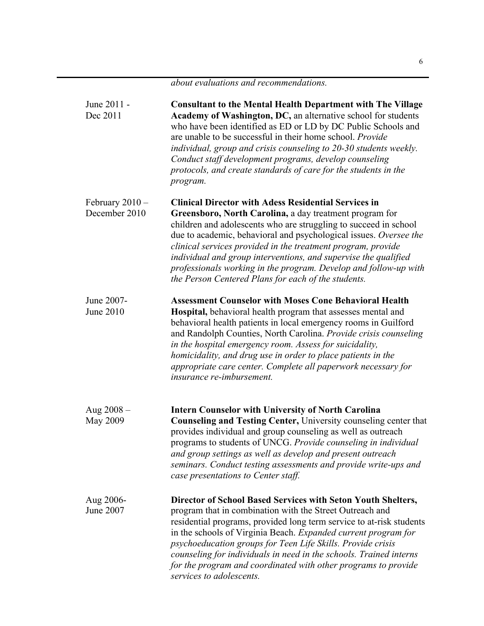| June 2011 -<br>Dec 2011            | <b>Consultant to the Mental Health Department with The Village</b><br>Academy of Washington, DC, an alternative school for students<br>who have been identified as ED or LD by DC Public Schools and<br>are unable to be successful in their home school. Provide<br>individual, group and crisis counseling to 20-30 students weekly.<br>Conduct staff development programs, develop counseling<br>protocols, and create standards of care for the students in the<br>program.                                               |
|------------------------------------|-------------------------------------------------------------------------------------------------------------------------------------------------------------------------------------------------------------------------------------------------------------------------------------------------------------------------------------------------------------------------------------------------------------------------------------------------------------------------------------------------------------------------------|
| February $2010 -$<br>December 2010 | <b>Clinical Director with Adess Residential Services in</b><br>Greensboro, North Carolina, a day treatment program for<br>children and adolescents who are struggling to succeed in school<br>due to academic, behavioral and psychological issues. Oversee the<br>clinical services provided in the treatment program, provide<br>individual and group interventions, and supervise the qualified<br>professionals working in the program. Develop and follow-up with<br>the Person Centered Plans for each of the students. |
| June 2007-<br>June 2010            | <b>Assessment Counselor with Moses Cone Behavioral Health</b><br>Hospital, behavioral health program that assesses mental and<br>behavioral health patients in local emergency rooms in Guilford<br>and Randolph Counties, North Carolina. Provide crisis counseling<br>in the hospital emergency room. Assess for suicidality,<br>homicidality, and drug use in order to place patients in the<br>appropriate care center. Complete all paperwork necessary for<br>insurance re-imbursement.                                 |
| Aug $2008 -$<br>May 2009           | <b>Intern Counselor with University of North Carolina</b><br>Counseling and Testing Center, University counseling center that<br>provides individual and group counseling as well as outreach<br>programs to students of UNCG. Provide counseling in individual<br>and group settings as well as develop and present outreach<br>seminars. Conduct testing assessments and provide write-ups and<br>case presentations to Center staff.                                                                                       |
| Aug 2006-<br>June 2007             | Director of School Based Services with Seton Youth Shelters,<br>program that in combination with the Street Outreach and<br>residential programs, provided long term service to at-risk students<br>in the schools of Virginia Beach. Expanded current program for<br>psychoeducation groups for Teen Life Skills. Provide crisis<br>counseling for individuals in need in the schools. Trained interns<br>for the program and coordinated with other programs to provide<br>services to adolescents.                         |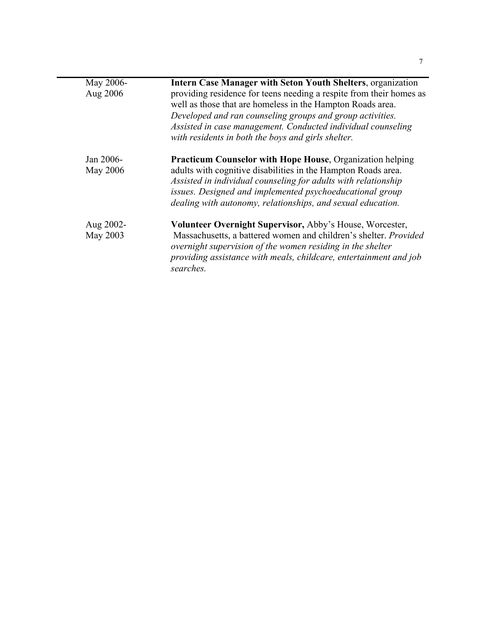| May 2006-<br>Aug 2006 | <b>Intern Case Manager with Seton Youth Shelters, organization</b><br>providing residence for teens needing a respite from their homes as<br>well as those that are homeless in the Hampton Roads area.<br>Developed and ran counseling groups and group activities.<br>Assisted in case management. Conducted individual counseling<br>with residents in both the boys and girls shelter. |
|-----------------------|--------------------------------------------------------------------------------------------------------------------------------------------------------------------------------------------------------------------------------------------------------------------------------------------------------------------------------------------------------------------------------------------|
| Jan 2006-<br>May 2006 | <b>Practicum Counselor with Hope House, Organization helping</b><br>adults with cognitive disabilities in the Hampton Roads area.<br>Assisted in individual counseling for adults with relationship<br>issues. Designed and implemented psychoeducational group<br>dealing with autonomy, relationships, and sexual education.                                                             |
| Aug 2002-<br>May 2003 | Volunteer Overnight Supervisor, Abby's House, Worcester,<br>Massachusetts, a battered women and children's shelter. Provided<br>overnight supervision of the women residing in the shelter<br>providing assistance with meals, childcare, entertainment and job<br>searches.                                                                                                               |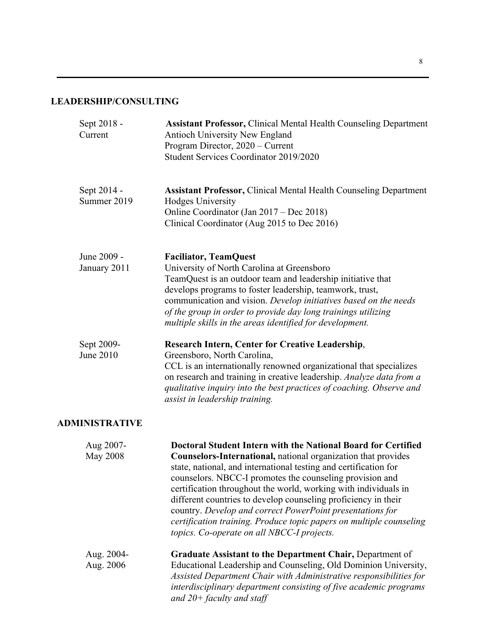# **LEADERSHIP/CONSULTING**

| Sept 2018 -<br>Current       | <b>Assistant Professor, Clinical Mental Health Counseling Department</b><br>Antioch University New England<br>Program Director, 2020 – Current<br>Student Services Coordinator 2019/2020                                                                                                                                                                                                                                                                                                                                                                                              |
|------------------------------|---------------------------------------------------------------------------------------------------------------------------------------------------------------------------------------------------------------------------------------------------------------------------------------------------------------------------------------------------------------------------------------------------------------------------------------------------------------------------------------------------------------------------------------------------------------------------------------|
| Sept 2014 -<br>Summer 2019   | <b>Assistant Professor, Clinical Mental Health Counseling Department</b><br>Hodges University<br>Online Coordinator (Jan 2017 – Dec 2018)<br>Clinical Coordinator (Aug 2015 to Dec 2016)                                                                                                                                                                                                                                                                                                                                                                                              |
| June 2009 -<br>January 2011  | <b>Faciliator, TeamQuest</b><br>University of North Carolina at Greensboro<br>TeamQuest is an outdoor team and leadership initiative that<br>develops programs to foster leadership, teamwork, trust,<br>communication and vision. Develop initiatives based on the needs<br>of the group in order to provide day long trainings utilizing<br>multiple skills in the areas identified for development.                                                                                                                                                                                |
| Sept 2009-<br>June 2010      | <b>Research Intern, Center for Creative Leadership,</b><br>Greensboro, North Carolina,<br>CCL is an internationally renowned organizational that specializes<br>on research and training in creative leadership. Analyze data from a<br>qualitative inquiry into the best practices of coaching. Observe and<br>assist in leadership training.                                                                                                                                                                                                                                        |
| <b>ADMINISTRATIVE</b>        |                                                                                                                                                                                                                                                                                                                                                                                                                                                                                                                                                                                       |
| Aug 2007-<br><b>May 2008</b> | Doctoral Student Intern with the National Board for Certified<br>Counselors-International, national organization that provides<br>state, national, and international testing and certification for<br>counselors. NBCC-I promotes the counseling provision and<br>certification throughout the world, working with individuals in<br>different countries to develop counseling proficiency in their<br>country. Develop and correct PowerPoint presentations for<br>certification training. Produce topic papers on multiple counseling<br>topics. Co-operate on all NBCC-I projects. |
| Aug. 2004-<br>Aug. 2006      | Graduate Assistant to the Department Chair, Department of<br>Educational Leadership and Counseling, Old Dominion University,<br>Assisted Department Chair with Administrative responsibilities for<br>interdisciplinary department consisting of five academic programs<br>and $20+$ faculty and staff                                                                                                                                                                                                                                                                                |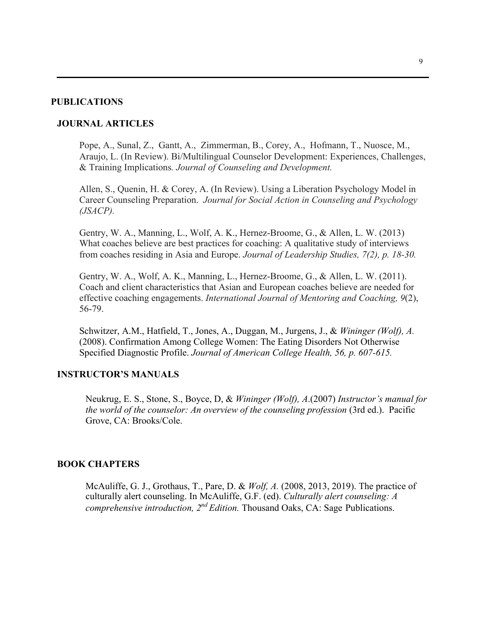### **PUBLICATIONS**

### **JOURNAL ARTICLES**

Pope, A., Sunal, Z., Gantt, A., Zimmerman, B., Corey, A., Hofmann, T., Nuosce, M., Araujo, L. (In Review). Bi/Multilingual Counselor Development: Experiences, Challenges, & Training Implications*. Journal of Counseling and Development.*

Allen, S., Quenin, H. & Corey, A. (In Review). Using a Liberation Psychology Model in Career Counseling Preparation. *Journal for Social Action in Counseling and Psychology (JSACP).*

Gentry, W. A., Manning, L., Wolf, A. K., Hernez-Broome, G., & Allen, L. W. (2013) What coaches believe are best practices for coaching: A qualitative study of interviews from coaches residing in Asia and Europe. *Journal of Leadership Studies, 7(2), p. 18-30.*

Gentry, W. A., Wolf, A. K., Manning, L., Hernez-Broome, G., & Allen, L. W. (2011). Coach and client characteristics that Asian and European coaches believe are needed for effective coaching engagements. *International Journal of Mentoring and Coaching, 9*(2), 56-79.

Schwitzer, A.M., Hatfield, T., Jones, A., Duggan, M., Jurgens, J., & *Wininger (Wolf), A.*  (2008). Confirmation Among College Women: The Eating Disorders Not Otherwise Specified Diagnostic Profile. *Journal of American College Health, 56, p. 607-615.*

### **INSTRUCTOR'S MANUALS**

Neukrug, E. S., Stone, S., Boyce, D, & *Wininger (Wolf), A*.(2007) *Instructor's manual for the world of the counselor: An overview of the counseling profession (3rd ed.).* Pacific Grove, CA: Brooks/Cole.

#### **BOOK CHAPTERS**

McAuliffe, G. J., Grothaus, T., Pare, D. & *Wolf, A.* (2008, 2013, 2019). The practice of culturally alert counseling. In McAuliffe, G.F. (ed). *Culturally alert counseling: A comprehensive introduction, 2nd Edition.* Thousand Oaks, CA: Sage Publications.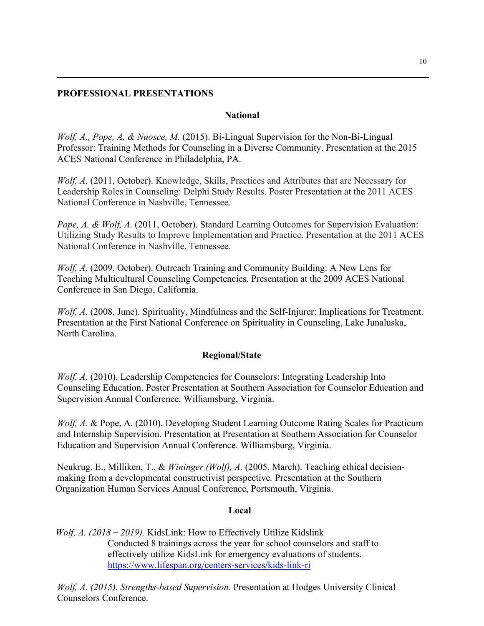# **PROFESSIONAL PRESENTATIONS**

### **National**

*Wolf, A., Pope, A. & Nuosce, M.* (2015). Bi-Lingual Supervision for the Non-Bi-Lingual Professor: Training Methods for Counseling in a Diverse Community. Presentation at the 2015 ACES National Conference in Philadelphia, PA.

*Wolf, A.* (2011, October). Knowledge, Skills, Practices and Attributes that are Necessary for Leadership Roles in Counseling: Delphi Study Results. Poster Presentation at the 2011 ACES National Conference in Nashville, Tennessee.

*Pope, A. & Wolf, A.* (2011, October). Standard Learning Outcomes for Supervision Evaluation: Utilizing Study Results to Improve Implementation and Practice. Presentation at the 2011 ACES National Conference in Nashville, Tennessee.

*Wolf, A.* (2009, October). Outreach Training and Community Building: A New Lens for Teaching Multicultural Counseling Competencies. Presentation at the 2009 ACES National Conference in San Diego, California.

*Wolf, A.* (2008, June). Spirituality, Mindfulness and the Self-Injurer: Implications for Treatment. Presentation at the First National Conference on Spirituality in Counseling, Lake Junaluska, North Carolina.

#### **Regional/State**

*Wolf, A.* (2010). Leadership Competencies for Counselors: Integrating Leadership Into Counseling Education. Poster Presentation at Southern Association for Counselor Education and Supervision Annual Conference. Williamsburg, Virginia.

*Wolf, A.* & Pope, A. (2010). Developing Student Learning Outcome Rating Scales for Practicum and Internship Supervision. Presentation at Presentation at Southern Association for Counselor Education and Supervision Annual Conference. Williamsburg, Virginia.

Neukrug, E., Milliken, T., & *Wininger (Wolf), A.* (2005, March). Teaching ethical decisionmaking from a developmental constructivist perspective*.* Presentation at the Southern Organization Human Services Annual Conference, Portsmouth, Virginia.

#### **Local**

 *Wolf, A. (2018 – 2019).* KidsLink: How to Effectively Utilize Kidslink Conducted 8 trainings across the year for school counselors and staff to effectively utilize KidsLink for emergency evaluations of students. https://www.lifespan.org/centers-services/kids-link-ri

*Wolf, A. (2015). Strengths-based Supervision.* Presentation at Hodges University Clinical Counselors Conference.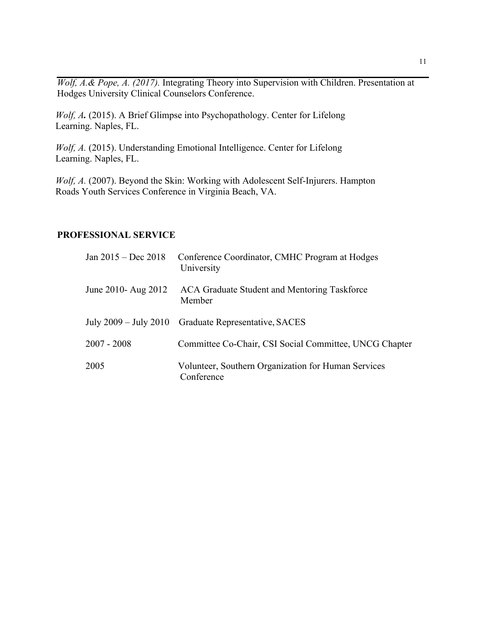*Wolf, A.& Pope, A. (2017).* Integrating Theory into Supervision with Children. Presentation at Hodges University Clinical Counselors Conference.

Wolf, A. (2015). A Brief Glimpse into Psychopathology. Center for Lifelong Learning. Naples, FL.

Wolf, A. (2015). Understanding Emotional Intelligence. Center for Lifelong Learning. Naples, FL.

*Wolf, A.* (2007). Beyond the Skin: Working with Adolescent Self-Injurers. Hampton Roads Youth Services Conference in Virginia Beach, VA.

### **PROFESSIONAL SERVICE**

| Jan 2015 – Dec 2018 | Conference Coordinator, CMHC Program at Hodges<br>University      |
|---------------------|-------------------------------------------------------------------|
| June 2010- Aug 2012 | ACA Graduate Student and Mentoring Taskforce<br>Member            |
|                     | July 2009 – July 2010 Graduate Representative, SACES              |
| $2007 - 2008$       | Committee Co-Chair, CSI Social Committee, UNCG Chapter            |
| 2005                | Volunteer, Southern Organization for Human Services<br>Conference |